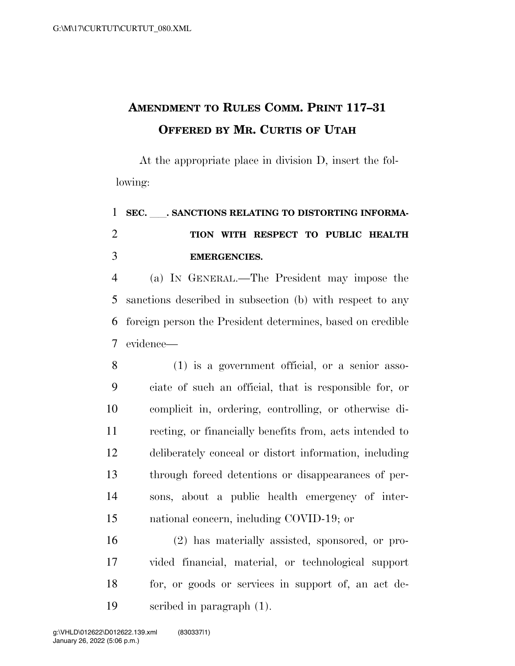## **AMENDMENT TO RULES COMM. PRINT 117–31 OFFERED BY MR. CURTIS OF UTAH**

At the appropriate place in division D, insert the following:

## 1 SEC. SANCTIONS RELATING TO DISTORTING INFORMA- **TION WITH RESPECT TO PUBLIC HEALTH EMERGENCIES.**

 (a) IN GENERAL.—The President may impose the sanctions described in subsection (b) with respect to any foreign person the President determines, based on credible evidence—

 (1) is a government official, or a senior asso- ciate of such an official, that is responsible for, or complicit in, ordering, controlling, or otherwise di- recting, or financially benefits from, acts intended to deliberately conceal or distort information, including through forced detentions or disappearances of per- sons, about a public health emergency of inter-national concern, including COVID-19; or

 (2) has materially assisted, sponsored, or pro- vided financial, material, or technological support for, or goods or services in support of, an act de-scribed in paragraph (1).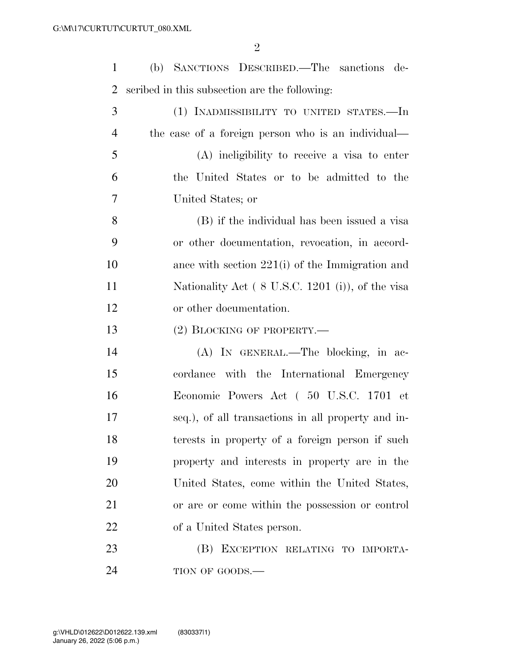| $\mathbf{1}$   | (b) SANCTIONS DESCRIBED.—The sanctions de-         |
|----------------|----------------------------------------------------|
| $\overline{2}$ | scribed in this subsection are the following:      |
| 3              | (1) INADMISSIBILITY TO UNITED STATES.-In           |
| $\overline{4}$ | the case of a foreign person who is an individual— |
| 5              | (A) ineligibility to receive a visa to enter       |
| 6              | the United States or to be admitted to the         |
| $\overline{7}$ | United States; or                                  |
| 8              | (B) if the individual has been issued a visa       |
| 9              | or other documentation, revocation, in accord-     |
| 10             | ance with section $221(i)$ of the Immigration and  |
| 11             | Nationality Act (8 U.S.C. 1201 (i)), of the visa   |
| 12             | or other documentation.                            |
| 13             | $(2)$ BLOCKING OF PROPERTY.—                       |
| 14             | (A) IN GENERAL.—The blocking, in ac-               |
| 15             | cordance with the International Emergency          |
| 16             | Economic Powers Act (50 U.S.C. 1701 et             |
| 17             | seq.), of all transactions in all property and in- |
| 18             | terests in property of a foreign person if such    |
| 19             | property and interests in property are in the      |
| 20             | United States, come within the United States,      |
| 21             | or are or come within the possession or control    |
| 22             | of a United States person.                         |
| 23             | (B) EXCEPTION RELATING TO IMPORTA-                 |
| 24             | TION OF GOODS.-                                    |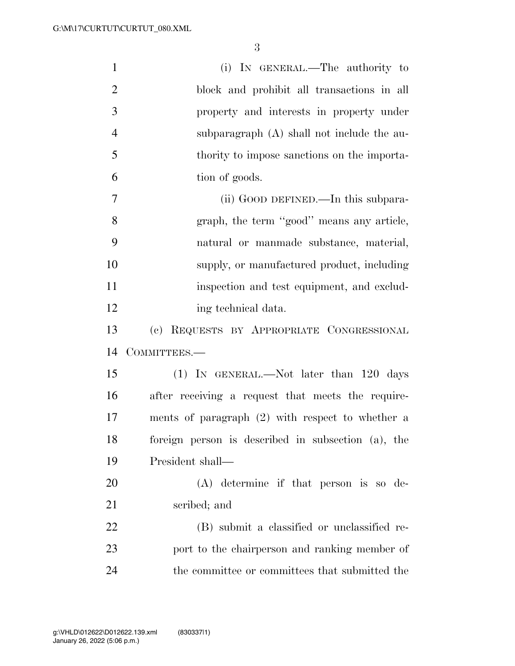| $\mathbf{1}$   | (i) IN GENERAL.—The authority to                   |
|----------------|----------------------------------------------------|
| $\overline{2}$ | block and prohibit all transactions in all         |
| 3              | property and interests in property under           |
| $\overline{4}$ | subparagraph $(A)$ shall not include the au-       |
| 5              | thority to impose sanctions on the importa-        |
| 6              | tion of goods.                                     |
| $\overline{7}$ | (ii) GOOD DEFINED.—In this subpara-                |
| 8              | graph, the term "good" means any article,          |
| 9              | natural or manmade substance, material,            |
| 10             | supply, or manufactured product, including         |
| 11             | inspection and test equipment, and exclud-         |
| 12             | ing technical data.                                |
| 13             | (c) REQUESTS BY APPROPRIATE CONGRESSIONAL          |
| 14             | COMMITTEES.-                                       |
| 15             | (1) IN GENERAL.—Not later than 120 days            |
| 16             | after receiving a request that meets the require-  |
| 17             | ments of paragraph $(2)$ with respect to whether a |
| 18             |                                                    |
|                | foreign person is described in subsection (a), the |
| 19             | President shall—                                   |
| 20             | $(A)$ determine if that person is so de-           |
| 21             | scribed; and                                       |
| 22             | (B) submit a classified or unclassified re-        |
| 23             | port to the chairperson and ranking member of      |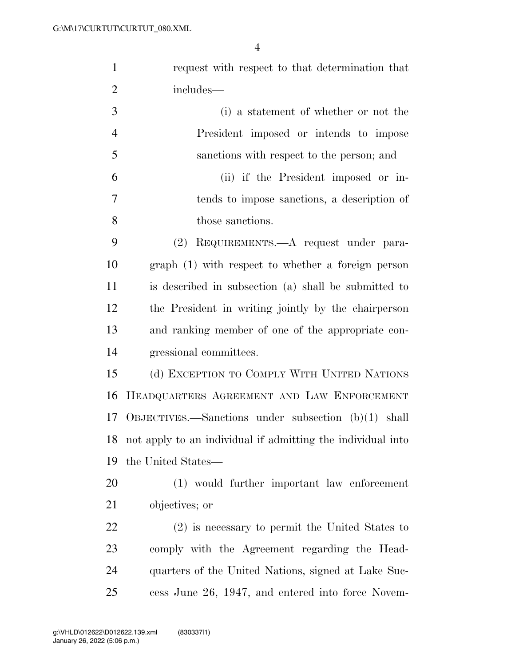| $\mathbf{1}$   | request with respect to that determination that             |
|----------------|-------------------------------------------------------------|
| $\overline{2}$ | includes—                                                   |
| 3              | (i) a statement of whether or not the                       |
| $\overline{4}$ | President imposed or intends to impose                      |
| 5              | sanctions with respect to the person; and                   |
| 6              | (ii) if the President imposed or in-                        |
| 7              | tends to impose sanctions, a description of                 |
| 8              | those sanctions.                                            |
| 9              | REQUIREMENTS.—A request under para-<br>(2)                  |
| 10             | graph (1) with respect to whether a foreign person          |
| 11             | is described in subsection (a) shall be submitted to        |
| 12             | the President in writing jointly by the chairperson         |
| 13             | and ranking member of one of the appropriate con-           |
| 14             | gressional committees.                                      |
| 15             | (d) EXCEPTION TO COMPLY WITH UNITED NATIONS                 |
| 16             | HEADQUARTERS AGREEMENT AND LAW ENFORCEMENT                  |
| 17             | OBJECTIVES.—Sanctions under subsection $(b)(1)$ shall       |
| 18             | not apply to an individual if admitting the individual into |
| 19             | the United States—                                          |
| 20             | (1) would further important law enforcement                 |
| 21             | objectives; or                                              |
| 22             | $(2)$ is necessary to permit the United States to           |
| 23             | comply with the Agreement regarding the Head-               |
| 24             | quarters of the United Nations, signed at Lake Suc-         |
| 25             | cess June 26, 1947, and entered into force Novem-           |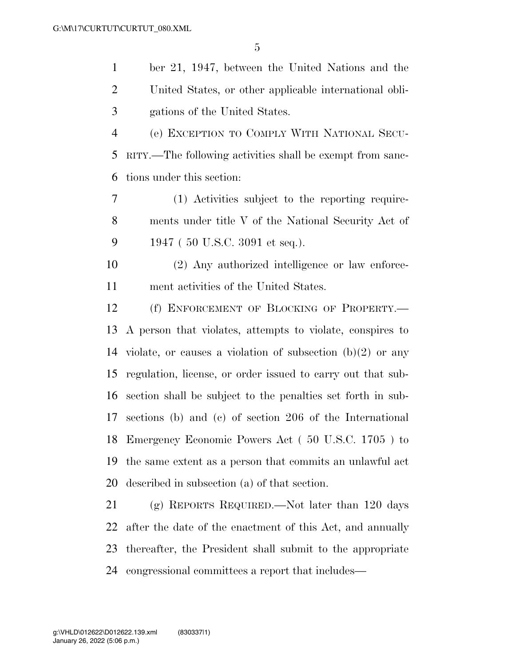ber 21, 1947, between the United Nations and the United States, or other applicable international obli-gations of the United States.

 (e) EXCEPTION TO COMPLY WITH NATIONAL SECU- RITY.—The following activities shall be exempt from sanc-tions under this section:

 (1) Activities subject to the reporting require- ments under title V of the National Security Act of 1947 ( 50 U.S.C. 3091 et seq.).

 (2) Any authorized intelligence or law enforce-ment activities of the United States.

12 (f) ENFORCEMENT OF BLOCKING OF PROPERTY.— A person that violates, attempts to violate, conspires to violate, or causes a violation of subsection (b)(2) or any regulation, license, or order issued to carry out that sub- section shall be subject to the penalties set forth in sub- sections (b) and (c) of section 206 of the International Emergency Economic Powers Act ( 50 U.S.C. 1705 ) to the same extent as a person that commits an unlawful act described in subsection (a) of that section.

 (g) REPORTS REQUIRED.—Not later than 120 days after the date of the enactment of this Act, and annually thereafter, the President shall submit to the appropriate congressional committees a report that includes—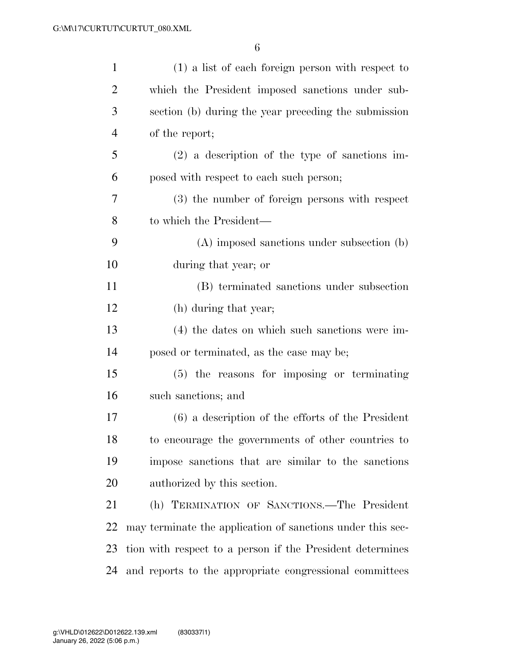| $\mathbf{1}$   | $(1)$ a list of each foreign person with respect to        |
|----------------|------------------------------------------------------------|
| $\overline{2}$ | which the President imposed sanctions under sub-           |
| 3              | section (b) during the year preceding the submission       |
| 4              | of the report;                                             |
| 5              | $(2)$ a description of the type of sanctions im-           |
| 6              | posed with respect to each such person;                    |
| 7              | (3) the number of foreign persons with respect             |
| 8              | to which the President—                                    |
| 9              | (A) imposed sanctions under subsection (b)                 |
| 10             | during that year; or                                       |
| 11             | (B) terminated sanctions under subsection                  |
| 12             | (h) during that year;                                      |
| 13             | $(4)$ the dates on which such sanctions were im-           |
| 14             | posed or terminated, as the case may be;                   |
| 15             | $(5)$ the reasons for imposing or terminating              |
| 16             | such sanctions; and                                        |
| 17             | $(6)$ a description of the efforts of the President        |
| 18             | to encourage the governments of other countries to         |
| 19             | impose sanctions that are similar to the sanctions         |
| 20             | authorized by this section.                                |
| 21             | (h) TERMINATION OF SANCTIONS.—The President                |
| 22             | may terminate the application of sanctions under this sec- |
| 23             | tion with respect to a person if the President determines  |
| 24             | and reports to the appropriate congressional committees    |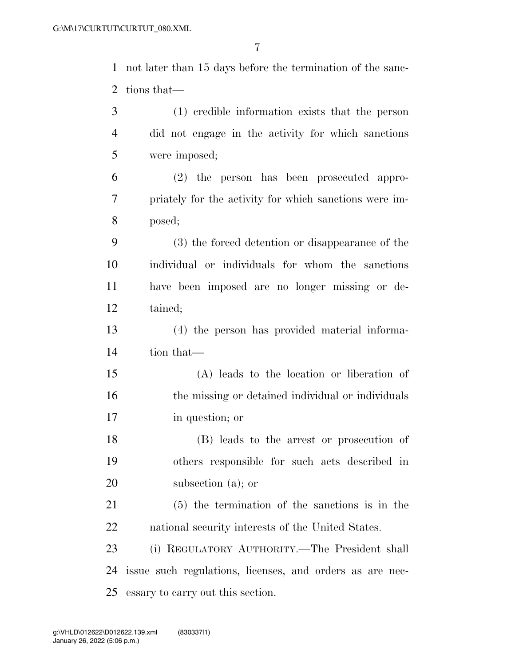not later than 15 days before the termination of the sanc-tions that—

| 3              | (1) credible information exists that the person          |
|----------------|----------------------------------------------------------|
| $\overline{4}$ | did not engage in the activity for which sanctions       |
| 5              | were imposed;                                            |
| 6              | (2) the person has been prosecuted appro-                |
| 7              | priately for the activity for which sanctions were im-   |
| 8              | posed;                                                   |
| 9              | (3) the forced detention or disappearance of the         |
| 10             | individual or individuals for whom the sanctions         |
| 11             | have been imposed are no longer missing or de-           |
| 12             | tained;                                                  |
| 13             | (4) the person has provided material informa-            |
| 14             | tion that—                                               |
| 15             | (A) leads to the location or liberation of               |
| 16             | the missing or detained individual or individuals        |
| 17             | in question; or                                          |
| 18             | (B) leads to the arrest or prosecution of                |
| 19             | others responsible for such acts described in            |
| 20             | subsection $(a)$ ; or                                    |
| 21             | $(5)$ the termination of the sanctions is in the         |
| <u>22</u>      | national security interests of the United States.        |
| 23             | (i) REGULATORY AUTHORITY.—The President shall            |
| 24             | issue such regulations, licenses, and orders as are nec- |
| 25             | essary to carry out this section.                        |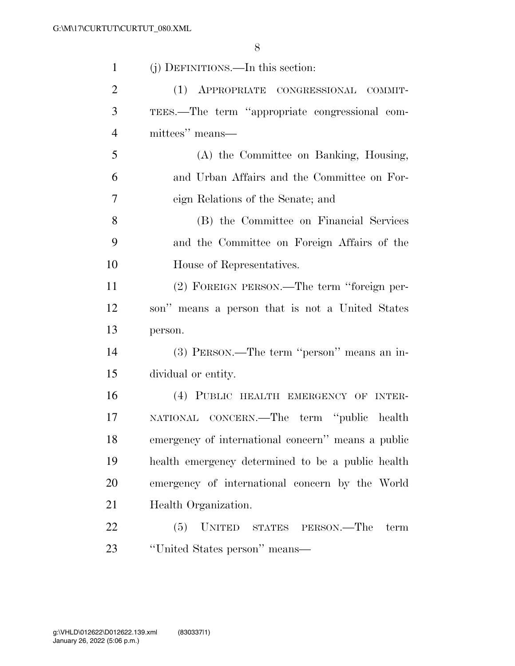| $\mathbf{1}$   | (j) DEFINITIONS.—In this section:                  |
|----------------|----------------------------------------------------|
| $\overline{2}$ | (1) APPROPRIATE CONGRESSIONAL COMMIT-              |
| 3              | TEES.—The term "appropriate congressional com-     |
| $\overline{4}$ | mittees" means—                                    |
| 5              | (A) the Committee on Banking, Housing,             |
| 6              | and Urban Affairs and the Committee on For-        |
| 7              | eign Relations of the Senate; and                  |
| 8              | (B) the Committee on Financial Services            |
| 9              | and the Committee on Foreign Affairs of the        |
| 10             | House of Representatives.                          |
| 11             | (2) FOREIGN PERSON.—The term "foreign per-         |
| 12             | son" means a person that is not a United States    |
| 13             | person.                                            |
| 14             | (3) PERSON.—The term "person" means an in-         |
| 15             | dividual or entity.                                |
| 16             | (4) PUBLIC HEALTH EMERGENCY OF INTER-              |
| 17             | NATIONAL CONCERN.—The term "public health          |
| 18             | emergency of international concern" means a public |
| 19             | health emergency determined to be a public health  |
| 20             | emergency of international concern by the World    |
| 21             | Health Organization.                               |
| 22             | (5)<br>UNITED STATES PERSON.—The<br>term           |
| 23             | "United States person" means—                      |